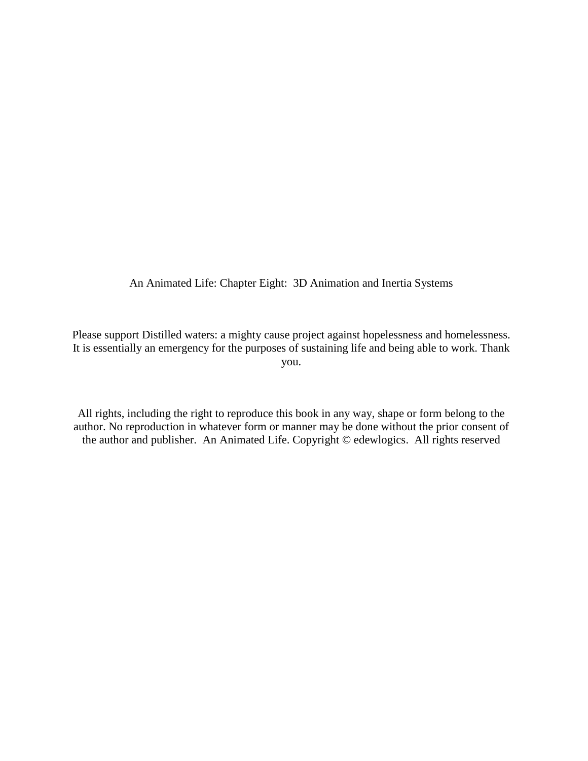An Animated Life: Chapter Eight: 3D Animation and Inertia Systems

Please support Distilled waters: a mighty cause project against hopelessness and homelessness. It is essentially an emergency for the purposes of sustaining life and being able to work. Thank you.

All rights, including the right to reproduce this book in any way, shape or form belong to the author. No reproduction in whatever form or manner may be done without the prior consent of the author and publisher. An Animated Life. Copyright © edewlogics. All rights reserved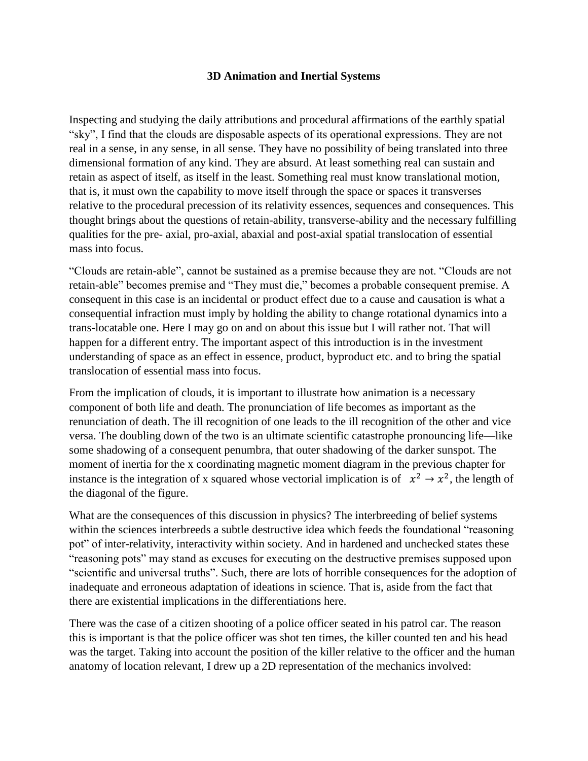## **3D Animation and Inertial Systems**

Inspecting and studying the daily attributions and procedural affirmations of the earthly spatial "sky", I find that the clouds are disposable aspects of its operational expressions. They are not real in a sense, in any sense, in all sense. They have no possibility of being translated into three dimensional formation of any kind. They are absurd. At least something real can sustain and retain as aspect of itself, as itself in the least. Something real must know translational motion, that is, it must own the capability to move itself through the space or spaces it transverses relative to the procedural precession of its relativity essences, sequences and consequences. This thought brings about the questions of retain-ability, transverse-ability and the necessary fulfilling qualities for the pre- axial, pro-axial, abaxial and post-axial spatial translocation of essential mass into focus.

"Clouds are retain-able", cannot be sustained as a premise because they are not. "Clouds are not retain-able" becomes premise and "They must die," becomes a probable consequent premise. A consequent in this case is an incidental or product effect due to a cause and causation is what a consequential infraction must imply by holding the ability to change rotational dynamics into a trans-locatable one. Here I may go on and on about this issue but I will rather not. That will happen for a different entry. The important aspect of this introduction is in the investment understanding of space as an effect in essence, product, byproduct etc. and to bring the spatial translocation of essential mass into focus.

From the implication of clouds, it is important to illustrate how animation is a necessary component of both life and death. The pronunciation of life becomes as important as the renunciation of death. The ill recognition of one leads to the ill recognition of the other and vice versa. The doubling down of the two is an ultimate scientific catastrophe pronouncing life—like some shadowing of a consequent penumbra, that outer shadowing of the darker sunspot. The moment of inertia for the x coordinating magnetic moment diagram in the previous chapter for instance is the integration of x squared whose vectorial implication is of  $x^2 \rightarrow x^2$ , the length of the diagonal of the figure.

What are the consequences of this discussion in physics? The interbreeding of belief systems within the sciences interbreeds a subtle destructive idea which feeds the foundational "reasoning" pot" of inter-relativity, interactivity within society. And in hardened and unchecked states these "reasoning pots" may stand as excuses for executing on the destructive premises supposed upon "scientific and universal truths". Such, there are lots of horrible consequences for the adoption of inadequate and erroneous adaptation of ideations in science. That is, aside from the fact that there are existential implications in the differentiations here.

There was the case of a citizen shooting of a police officer seated in his patrol car. The reason this is important is that the police officer was shot ten times, the killer counted ten and his head was the target. Taking into account the position of the killer relative to the officer and the human anatomy of location relevant, I drew up a 2D representation of the mechanics involved: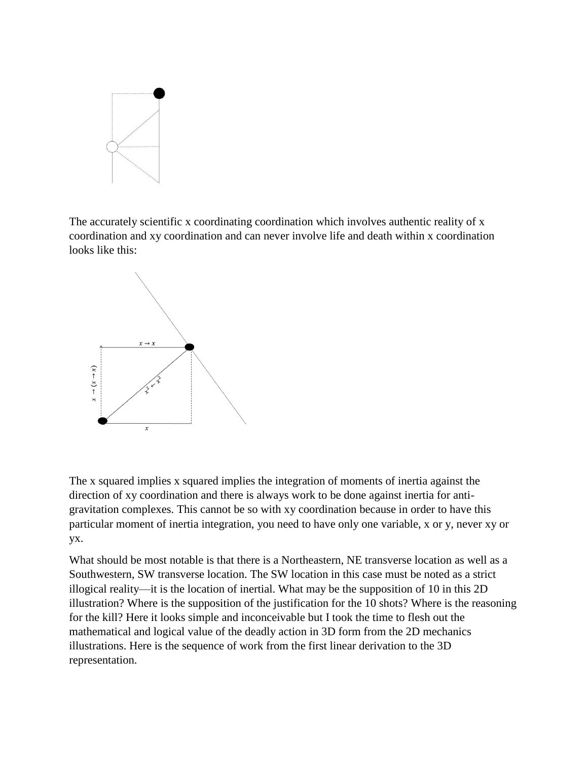

The accurately scientific x coordinating coordination which involves authentic reality of x coordination and xy coordination and can never involve life and death within x coordination looks like this:



The x squared implies x squared implies the integration of moments of inertia against the direction of xy coordination and there is always work to be done against inertia for antigravitation complexes. This cannot be so with xy coordination because in order to have this particular moment of inertia integration, you need to have only one variable, x or y, never xy or yx.

What should be most notable is that there is a Northeastern, NE transverse location as well as a Southwestern, SW transverse location. The SW location in this case must be noted as a strict illogical reality—it is the location of inertial. What may be the supposition of 10 in this 2D illustration? Where is the supposition of the justification for the 10 shots? Where is the reasoning for the kill? Here it looks simple and inconceivable but I took the time to flesh out the mathematical and logical value of the deadly action in 3D form from the 2D mechanics illustrations. Here is the sequence of work from the first linear derivation to the 3D representation.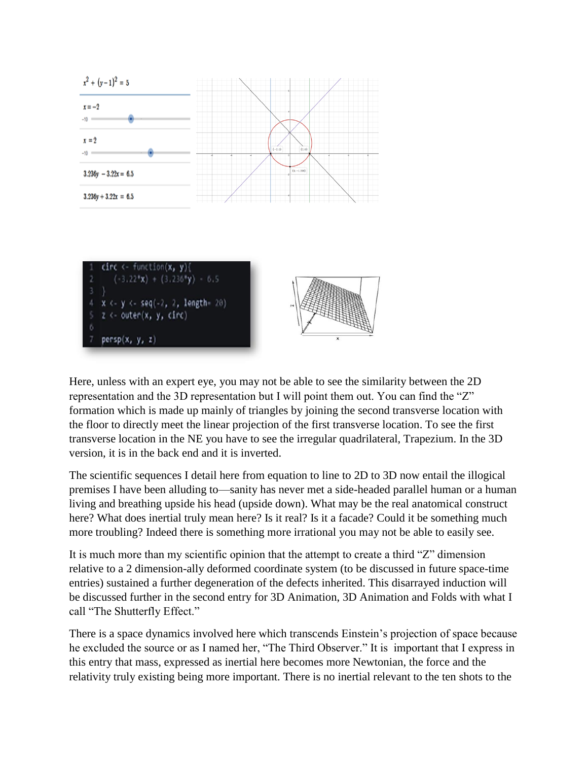

Here, unless with an expert eye, you may not be able to see the similarity between the 2D representation and the 3D representation but I will point them out. You can find the "Z" formation which is made up mainly of triangles by joining the second transverse location with the floor to directly meet the linear projection of the first transverse location. To see the first transverse location in the NE you have to see the irregular quadrilateral, Trapezium. In the 3D version, it is in the back end and it is inverted.

The scientific sequences I detail here from equation to line to 2D to 3D now entail the illogical premises I have been alluding to—sanity has never met a side-headed parallel human or a human living and breathing upside his head (upside down). What may be the real anatomical construct here? What does inertial truly mean here? Is it real? Is it a facade? Could it be something much more troubling? Indeed there is something more irrational you may not be able to easily see.

It is much more than my scientific opinion that the attempt to create a third "Z" dimension relative to a 2 dimension-ally deformed coordinate system (to be discussed in future space-time entries) sustained a further degeneration of the defects inherited. This disarrayed induction will be discussed further in the second entry for 3D Animation, 3D Animation and Folds with what I call "The Shutterfly Effect."

There is a space dynamics involved here which transcends Einstein's projection of space because he excluded the source or as I named her, "The Third Observer." It is important that I express in this entry that mass, expressed as inertial here becomes more Newtonian, the force and the relativity truly existing being more important. There is no inertial relevant to the ten shots to the